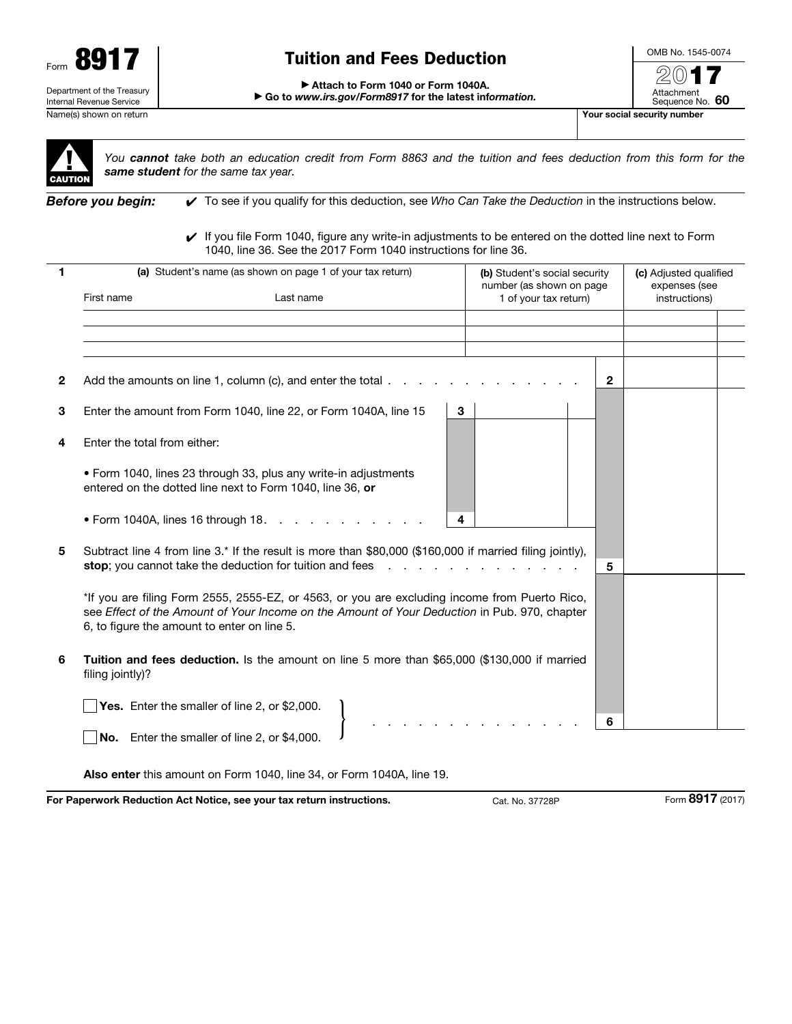

# Tuition and Fees Deduction

OMB No. 1545-0074 2017

#### ▶ Attach to Form 1040 or Form 1040A.

▶ Go to *www.irs.gov/Form8917* for the latest inf*ormation.*





*You cannot take both an education credit from Form 8863 and the tuition and fees deduction from this form for the same student for the same tax year.*

*Before you begin:* ✔ To see if you qualify for this deduction, see *Who Can Take the Deduction* in the instructions below.

✔ If you file Form 1040, figure any write-in adjustments to be entered on the dotted line next to Form 1040, line 36. See the 2017 Form 1040 instructions for line 36.

| 1            | (a) Student's name (as shown on page 1 of your tax return)<br>First name<br>Last name                                                                                                                                                                                                                                                                                                                                                                  | (b) Student's social security<br>number (as shown on page<br>1 of your tax return) | (c) Adjusted qualified<br>expenses (see<br>instructions) |
|--------------|--------------------------------------------------------------------------------------------------------------------------------------------------------------------------------------------------------------------------------------------------------------------------------------------------------------------------------------------------------------------------------------------------------------------------------------------------------|------------------------------------------------------------------------------------|----------------------------------------------------------|
|              |                                                                                                                                                                                                                                                                                                                                                                                                                                                        |                                                                                    |                                                          |
|              |                                                                                                                                                                                                                                                                                                                                                                                                                                                        |                                                                                    |                                                          |
|              |                                                                                                                                                                                                                                                                                                                                                                                                                                                        |                                                                                    |                                                          |
| $\mathbf{2}$ | Add the amounts on line 1, column (c), and enter the total                                                                                                                                                                                                                                                                                                                                                                                             |                                                                                    | $\mathbf{2}$                                             |
| 3            | Enter the amount from Form 1040, line 22, or Form 1040A, line 15                                                                                                                                                                                                                                                                                                                                                                                       | 3                                                                                  |                                                          |
| 4            | Enter the total from either:                                                                                                                                                                                                                                                                                                                                                                                                                           |                                                                                    |                                                          |
|              | • Form 1040, lines 23 through 33, plus any write-in adjustments<br>entered on the dotted line next to Form 1040, line 36, or                                                                                                                                                                                                                                                                                                                           |                                                                                    |                                                          |
|              | $\bullet$ Form 1040A, lines 16 through 18. $\cdot \cdot \cdot$ $\cdot \cdot \cdot$ $\cdot \cdot \cdot$ $\cdot \cdot \cdot$                                                                                                                                                                                                                                                                                                                             | 4                                                                                  |                                                          |
| 5            | Subtract line 4 from line 3.* If the result is more than \$80,000 (\$160,000 if married filing jointly),<br>stop; you cannot take the deduction for tuition and fees<br>and the company of the company<br>*If you are filing Form 2555, 2555-EZ, or 4563, or you are excluding income from Puerto Rico,<br>see Effect of the Amount of Your Income on the Amount of Your Deduction in Pub. 970, chapter<br>6, to figure the amount to enter on line 5. |                                                                                    | 5                                                        |
|              |                                                                                                                                                                                                                                                                                                                                                                                                                                                        |                                                                                    |                                                          |
| 6            | Tuition and fees deduction. Is the amount on line 5 more than \$65,000 (\$130,000 if married<br>filing jointly)?                                                                                                                                                                                                                                                                                                                                       |                                                                                    |                                                          |
|              | Yes. Enter the smaller of line 2, or \$2,000.                                                                                                                                                                                                                                                                                                                                                                                                          |                                                                                    |                                                          |
|              | No. Enter the smaller of line 2, or \$4,000.                                                                                                                                                                                                                                                                                                                                                                                                           |                                                                                    | 6                                                        |

Also enter this amount on Form 1040, line 34, or Form 1040A, line 19.

For Paperwork Reduction Act Notice, see your tax return instructions. Cat. No. 37728P Form 8917 (2017)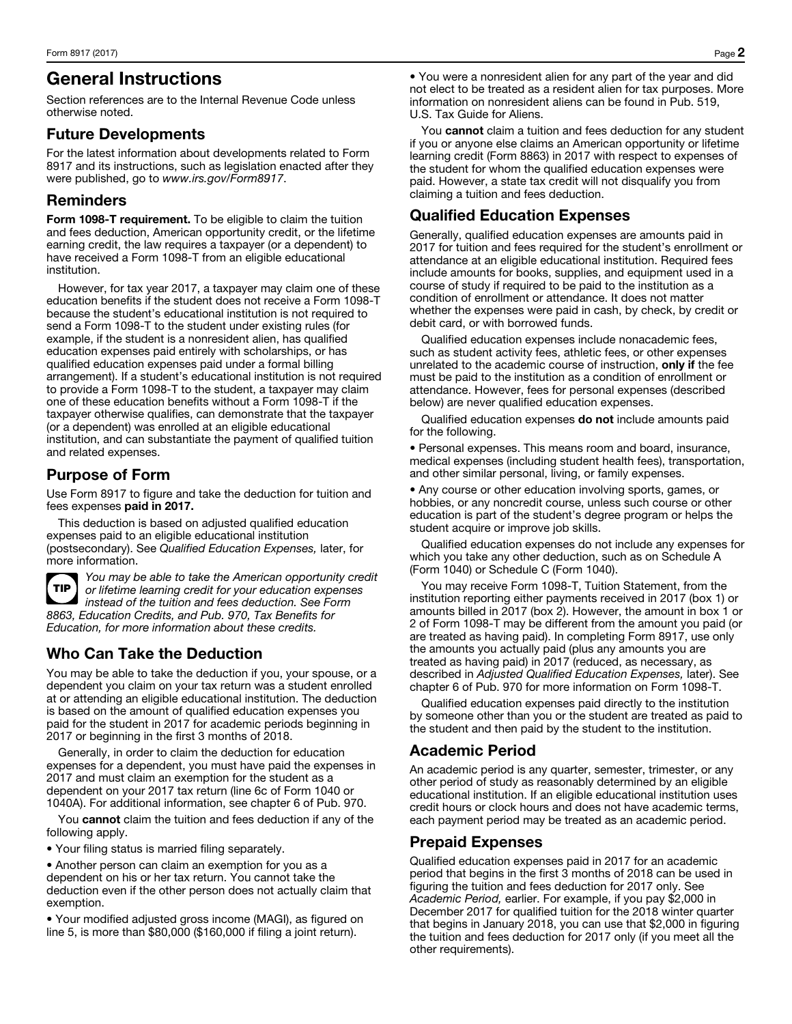## General Instructions

Section references are to the Internal Revenue Code unless otherwise noted.

#### Future Developments

For the latest information about developments related to Form 8917 and its instructions, such as legislation enacted after they were published, go to *www.irs.gov/Form8917*.

#### Reminders

Form 1098-T requirement. To be eligible to claim the tuition and fees deduction, American opportunity credit, or the lifetime earning credit, the law requires a taxpayer (or a dependent) to have received a Form 1098-T from an eligible educational institution.

However, for tax year 2017, a taxpayer may claim one of these education benefits if the student does not receive a Form 1098-T because the student's educational institution is not required to send a Form 1098-T to the student under existing rules (for example, if the student is a nonresident alien, has qualified education expenses paid entirely with scholarships, or has qualified education expenses paid under a formal billing arrangement). If a student's educational institution is not required to provide a Form 1098-T to the student, a taxpayer may claim one of these education benefits without a Form 1098-T if the taxpayer otherwise qualifies, can demonstrate that the taxpayer (or a dependent) was enrolled at an eligible educational institution, and can substantiate the payment of qualified tuition and related expenses.

## Purpose of Form

Use Form 8917 to figure and take the deduction for tuition and fees expenses paid in 2017.

This deduction is based on adjusted qualified education expenses paid to an eligible educational institution (postsecondary). See *Qualified Education Expenses,* later, for more information.



*You may be able to take the American opportunity credit or lifetime learning credit for your education expenses instead of the tuition and fees deduction. See Form 8863, Education Credits, and Pub. 970, Tax Benefits for Education, for more information about these credits.*

## Who Can Take the Deduction

You may be able to take the deduction if you, your spouse, or a dependent you claim on your tax return was a student enrolled at or attending an eligible educational institution. The deduction is based on the amount of qualified education expenses you paid for the student in 2017 for academic periods beginning in 2017 or beginning in the first 3 months of 2018.

Generally, in order to claim the deduction for education expenses for a dependent, you must have paid the expenses in 2017 and must claim an exemption for the student as a dependent on your 2017 tax return (line 6c of Form 1040 or 1040A). For additional information, see chapter 6 of Pub. 970.

You cannot claim the tuition and fees deduction if any of the following apply.

• Your filing status is married filing separately.

• Another person can claim an exemption for you as a dependent on his or her tax return. You cannot take the deduction even if the other person does not actually claim that exemption.

• Your modified adjusted gross income (MAGI), as figured on line 5, is more than \$80,000 (\$160,000 if filing a joint return).

• You were a nonresident alien for any part of the year and did not elect to be treated as a resident alien for tax purposes. More information on nonresident aliens can be found in Pub. 519, U.S. Tax Guide for Aliens.

You cannot claim a tuition and fees deduction for any student if you or anyone else claims an American opportunity or lifetime learning credit (Form 8863) in 2017 with respect to expenses of the student for whom the qualified education expenses were paid. However, a state tax credit will not disqualify you from claiming a tuition and fees deduction.

### Qualified Education Expenses

Generally, qualified education expenses are amounts paid in 2017 for tuition and fees required for the student's enrollment or attendance at an eligible educational institution. Required fees include amounts for books, supplies, and equipment used in a course of study if required to be paid to the institution as a condition of enrollment or attendance. It does not matter whether the expenses were paid in cash, by check, by credit or debit card, or with borrowed funds.

Qualified education expenses include nonacademic fees, such as student activity fees, athletic fees, or other expenses unrelated to the academic course of instruction, only if the fee must be paid to the institution as a condition of enrollment or attendance. However, fees for personal expenses (described below) are never qualified education expenses.

Qualified education expenses do not include amounts paid for the following.

• Personal expenses. This means room and board, insurance, medical expenses (including student health fees), transportation, and other similar personal, living, or family expenses.

• Any course or other education involving sports, games, or hobbies, or any noncredit course, unless such course or other education is part of the student's degree program or helps the student acquire or improve job skills.

Qualified education expenses do not include any expenses for which you take any other deduction, such as on Schedule A (Form 1040) or Schedule C (Form 1040).

You may receive Form 1098-T, Tuition Statement, from the institution reporting either payments received in 2017 (box 1) or amounts billed in 2017 (box 2). However, the amount in box 1 or 2 of Form 1098-T may be different from the amount you paid (or are treated as having paid). In completing Form 8917, use only the amounts you actually paid (plus any amounts you are treated as having paid) in 2017 (reduced, as necessary, as described in *Adjusted Qualified Education Expenses,* later). See chapter 6 of Pub. 970 for more information on Form 1098-T.

Qualified education expenses paid directly to the institution by someone other than you or the student are treated as paid to the student and then paid by the student to the institution.

### Academic Period

An academic period is any quarter, semester, trimester, or any other period of study as reasonably determined by an eligible educational institution. If an eligible educational institution uses credit hours or clock hours and does not have academic terms, each payment period may be treated as an academic period.

#### Prepaid Expenses

Qualified education expenses paid in 2017 for an academic period that begins in the first 3 months of 2018 can be used in figuring the tuition and fees deduction for 2017 only. See *Academic Period,* earlier. For example, if you pay \$2,000 in December 2017 for qualified tuition for the 2018 winter quarter that begins in January 2018, you can use that \$2,000 in figuring the tuition and fees deduction for 2017 only (if you meet all the other requirements).